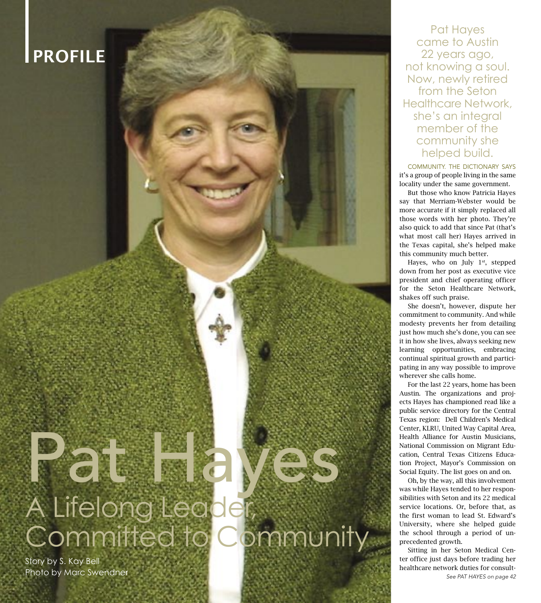## PROFILE

## Pat Hayes A Lifelong Leader Committed to Community

Story by S. Kay Bell Photo by Marc Swendner

40 austinwoman • July 2006

Pat Hayes came to Austin 22 years ago, not knowing a soul. Now, newly retired from the Seton Healthcare Network, she's an integral member of the community she helped build.

COMMUNITY. THE DICTIONARY SAYS it's a group of people living in the same locality under the same government.

 But those who know Patricia Hayes say that Merriam-Webster would be more accurate if it simply replaced all those words with her photo. They're also quick to add that since Pat (that's what most call her) Hayes arrived in the Texas capital, she's helped make this community much better.

Hayes, who on July  $1<sup>st</sup>$ , stepped down from her post as executive vice president and chief operating officer for the Seton Healthcare Network, shakes off such praise.

 She doesn't, however, dispute her commitment to community. And while modesty prevents her from detailing just how much she's done, you can see it in how she lives, always seeking new learning opportunities, embracing continual spiritual growth and participating in any way possible to improve wherever she calls home.

 For the last 22 years, home has been Austin. The organizations and projects Hayes has championed read like a public service directory for the Central Texas region: Dell Children's Medical Center, KLRU, United Way Capital Area, Health Alliance for Austin Musicians, National Commission on Migrant Education, Central Texas Citizens Education Project, Mayor's Commission on Social Equity. The list goes on and on.

 Oh, by the way, all this involvement was while Hayes tended to her responsibilities with Seton and its 22 medical service locations. Or, before that, as the first woman to lead St. Edward's University, where she helped guide the school through a period of unprecedented growth.

 Sitting in her Seton Medical Center office just days before trading her healthcare network duties for consult-See PAT HAYES on page 42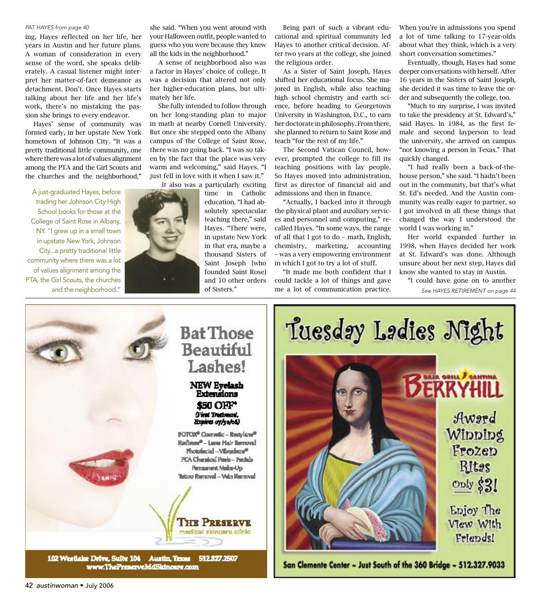## PAT HAYES from page 40

ing, Hayes reflected on her life, her years in Austin and her future plans. A woman of consideration in every sense of the word, she speaks deliberately. A casual listener might interpret her matter-of-fact demeanor as detachment. Don't. Once Hayes starts talking about her life and her life's work, there's no mistaking the passion she brings to every endeavor.

 Hayes' sense of community was formed early, in her upstate New York hometown of Johnson City. "It was a pretty traditional little community, one where there was a lot of values alignment among the PTA and the Girl Scouts and the churches and the neighborhood,"

A just-graduated Hayes, before trading her Johnson City High School books for those at the College of Saint Rose in Albany, NY. "I grew up in a small town in upstate New York, Johnson City...a pretty traditional little community where there was a lot of values alignment among the PTA, the Girl Scouts, the churches she said. "When you went around with your Halloween outfit, people wanted to guess who you were because they knew all the kids in the neighborhood."

 A sense of neighborhood also was a factor in Hayes' choice of college. It was a decision that altered not only her higher-education plans, but ultimately her life.

 She fully intended to follow through on her long-standing plan to major in math at nearby Cornell University. But once she stepped onto the Albany campus of the College of Saint Rose, there was no going back. "I was so taken by the fact that the place was very warm and welcoming," said Hayes. "I just fell in love with it when I saw it."

It also was a particularly exciting

 Being part of such a vibrant educational and spiritual community led Hayes to another critical decision. After two years at the college, she joined the religious order.

 As a Sister of Saint Joseph, Hayes shifted her educational focus. She majored in English, while also teaching high school chemistry and earth science, before heading to Georgetown University in Washington, D.C., to earn her doctorate in philosophy. From there, she planned to return to Saint Rose and teach "for the rest of my life."

 The Second Vatican Council, however, prompted the college to fill its teaching positions with lay people. So Hayes moved into administration, first as director of financial aid and admissions and then in finance.

 "Actually, I backed into it through the physical plant and auxiliary services and personnel and computing," recalled Hayes. "In some ways, the range of all that I got to do – math, English, chemistry, marketing, accounting – was a very empowering environment in which I got to try a lot of stuff.

 "It made me both confident that I could tackle a lot of things and gave When you're in admissions you spend a lot of time talking to 17-year-olds about what they think, which is a very short conversation sometimes."

 Eventually, though, Hayes had some deeper conversations with herself. After 16 years in the Sisters of Saint Joseph, she decided it was time to leave the order and subsequently the college, too.

 "Much to my surprise, I was invited to take the presidency at St. Edward's," said Hayes. In 1984, as the first female and second layperson to lead the university, she arrived on campus "not knowing a person in Texas." That quickly changed.

 "I had really been a back-of-thehouse person," she said. "I hadn't been out in the community, but that's what St. Ed's needed. And the Austin community was really eager to partner, so I got involved in all these things that changed the way I understood the world I was working in."

 Her world expanded further in 1998, when Hayes decided her work at St. Edward's was done. Although unsure about her next step, Hayes did know she wanted to stay in Austin.

and the neighborhood." **The Communication and the neighborhood."** See HAYES RETIREMENT on page 44 "I could have gone on to another